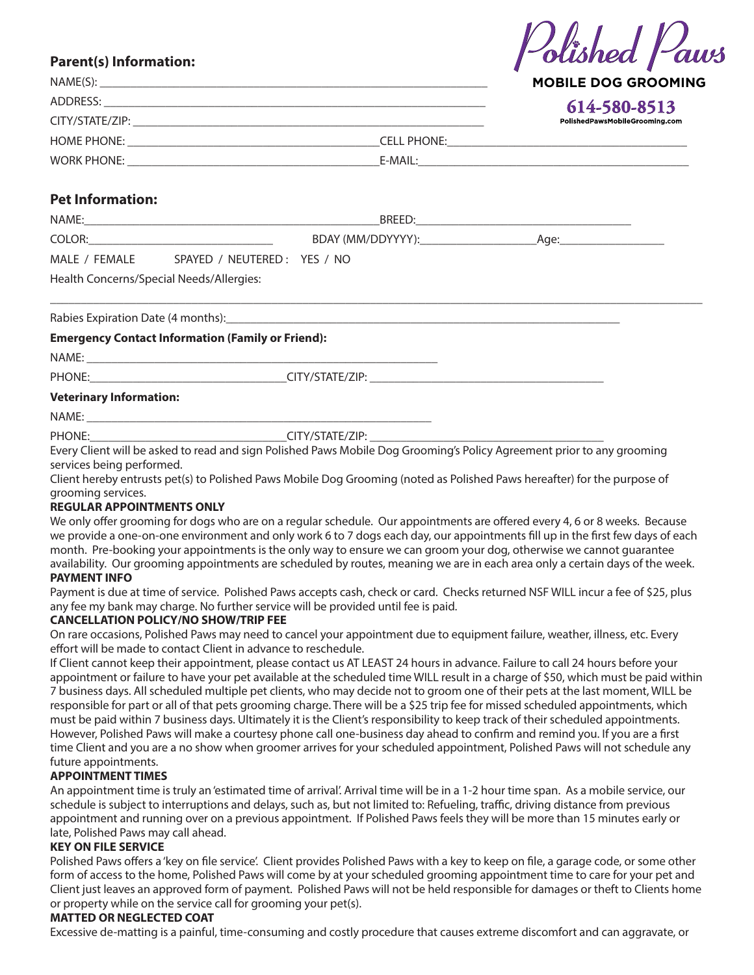# **Parent(s) Information:**

| NAME(S):                                                                                                                                                                                                                       |             | <b>MOBILE DOG GROOMING</b>     |
|--------------------------------------------------------------------------------------------------------------------------------------------------------------------------------------------------------------------------------|-------------|--------------------------------|
| ADDRESS:                                                                                                                                                                                                                       |             | 614-580-8513                   |
|                                                                                                                                                                                                                                |             | PolishedPawsMobileGrooming.com |
| HOME PHONE: The contract of the contract of the contract of the contract of the contract of the contract of the contract of the contract of the contract of the contract of the contract of the contract of the contract of th | CELL PHONE: |                                |
| WORK PHONE:                                                                                                                                                                                                                    |             |                                |

Polished Paws

# **Pet Information:**

| NAME:                                    | BREED:                      |                   |      |
|------------------------------------------|-----------------------------|-------------------|------|
| COLOR:                                   |                             | BDAY (MM/DDYYYY): | Aae: |
| MALE / FEMALE                            | SPAYED / NEUTERED: YES / NO |                   |      |
| Health Concerns/Special Needs/Allergies: |                             |                   |      |

\_\_\_\_\_\_\_\_\_\_\_\_\_\_\_\_\_\_\_\_\_\_\_\_\_\_\_\_\_\_\_\_\_\_\_\_\_\_\_\_\_\_\_\_\_\_\_\_\_\_\_\_\_\_\_\_\_\_\_\_\_\_\_\_\_\_\_\_\_\_\_\_\_\_\_\_\_\_\_\_\_\_\_\_\_\_\_\_\_\_\_\_\_\_\_\_\_\_\_\_\_\_\_\_\_\_

Rabies Expiration Date (4 months):

### **Emergency Contact Information (Family or Friend):**

 $NAME:$ 

PHONE:\_\_\_\_\_\_\_\_\_\_\_\_\_\_\_\_\_\_\_\_\_\_\_\_\_\_\_\_\_\_\_\_CITY/STATE/ZIP: \_\_\_\_\_\_\_\_\_\_\_\_\_\_\_\_\_\_\_\_\_\_\_\_\_\_\_\_\_\_\_\_\_\_\_\_\_\_

### **Veterinary Information:**

NAME: \_\_\_\_\_\_\_\_\_\_\_\_\_\_\_\_\_\_\_\_\_\_\_\_\_\_\_\_\_\_\_\_\_\_\_\_\_\_\_\_\_\_\_\_\_\_\_\_\_\_\_\_\_\_\_\_

PHONE: THE PHONE:

Every Client will be asked to read and sign Polished Paws Mobile Dog Grooming's Policy Agreement prior to any grooming services being performed.

Client hereby entrusts pet(s) to Polished Paws Mobile Dog Grooming (noted as Polished Paws hereafter) for the purpose of grooming services.

### **REGULAR APPOINTMENTS ONLY**

We only offer grooming for dogs who are on a regular schedule. Our appointments are offered every 4, 6 or 8 weeks. Because we provide a one-on-one environment and only work 6 to 7 dogs each day, our appointments fill up in the first few days of each month. Pre-booking your appointments is the only way to ensure we can groom your dog, otherwise we cannot guarantee availability. Our grooming appointments are scheduled by routes, meaning we are in each area only a certain days of the week. **PAYMENT INFO**

Payment is due at time of service. Polished Paws accepts cash, check or card. Checks returned NSF WILL incur a fee of \$25, plus any fee my bank may charge. No further service will be provided until fee is paid.

### **CANCELLATION POLICY/NO SHOW/TRIP FEE**

On rare occasions, Polished Paws may need to cancel your appointment due to equipment failure, weather, illness, etc. Every effort will be made to contact Client in advance to reschedule.

If Client cannot keep their appointment, please contact us AT LEAST 24 hours in advance. Failure to call 24 hours before your appointment or failure to have your pet available at the scheduled time WILL result in a charge of \$50, which must be paid within 7 business days. All scheduled multiple pet clients, who may decide not to groom one of their pets at the last moment, WILL be responsible for part or all of that pets grooming charge. There will be a \$25 trip fee for missed scheduled appointments, which must be paid within 7 business days. Ultimately it is the Client's responsibility to keep track of their scheduled appointments. However, Polished Paws will make a courtesy phone call one-business day ahead to confirm and remind you. If you are a first time Client and you are a no show when groomer arrives for your scheduled appointment, Polished Paws will not schedule any future appointments.

## **APPOINTMENT TIMES**

An appointment time is truly an 'estimated time of arrival'. Arrival time will be in a 1-2 hour time span. As a mobile service, our schedule is subject to interruptions and delays, such as, but not limited to: Refueling, traffic, driving distance from previous appointment and running over on a previous appointment. If Polished Paws feels they will be more than 15 minutes early or late, Polished Paws may call ahead.

## **KEY ON FILE SERVICE**

Polished Paws offers a 'key on file service'. Client provides Polished Paws with a key to keep on file, a garage code, or some other form of access to the home, Polished Paws will come by at your scheduled grooming appointment time to care for your pet and Client just leaves an approved form of payment. Polished Paws will not be held responsible for damages or theft to Clients home or property while on the service call for grooming your pet(s).

# **MATTED OR NEGLECTED COAT**

Excessive de-matting is a painful, time-consuming and costly procedure that causes extreme discomfort and can aggravate, or